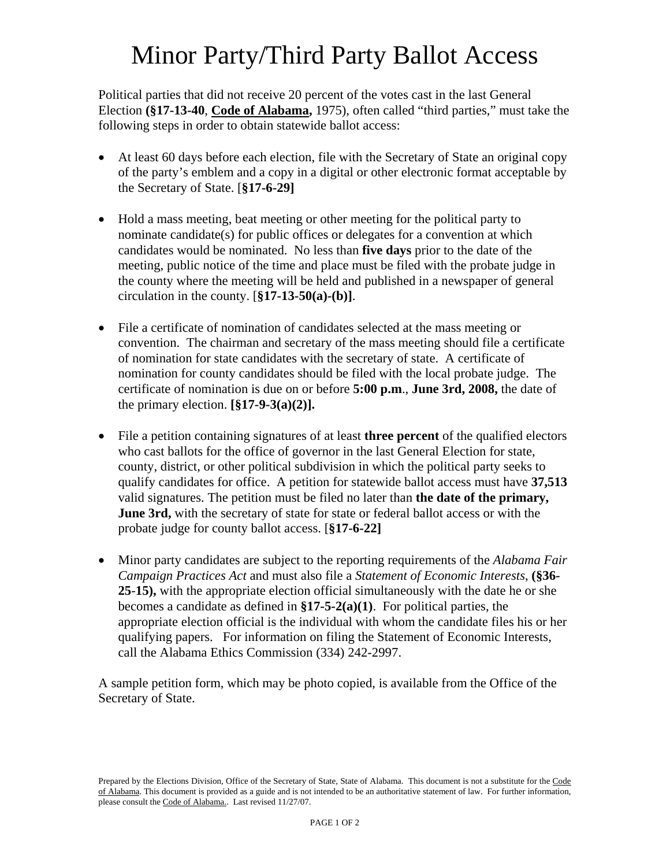# Minor Party/Third Party Ballot Access

Political parties that did not receive 20 percent of the votes cast in the last General Election **(§17-13-40**, **Code of Alabama,** 1975), often called "third parties," must take the following steps in order to obtain statewide ballot access:

- At least 60 days before each election, file with the Secretary of State an original copy of the party's emblem and a copy in a digital or other electronic format acceptable by the Secretary of State. [**§17-6-29]**
- Hold a mass meeting, beat meeting or other meeting for the political party to nominate candidate(s) for public offices or delegates for a convention at which candidates would be nominated. No less than **five days** prior to the date of the meeting, public notice of the time and place must be filed with the probate judge in the county where the meeting will be held and published in a newspaper of general circulation in the county. [**§17-13-50(a)-(b)]**.
- File a certificate of nomination of candidates selected at the mass meeting or convention. The chairman and secretary of the mass meeting should file a certificate of nomination for state candidates with the secretary of state. A certificate of nomination for county candidates should be filed with the local probate judge. The certificate of nomination is due on or before **5:00 p.m**., **June 3rd, 2008,** the date of the primary election. **[§17-9-3(a)(2)].**
- File a petition containing signatures of at least **three percent** of the qualified electors who cast ballots for the office of governor in the last General Election for state, county, district, or other political subdivision in which the political party seeks to qualify candidates for office. A petition for statewide ballot access must have **37,513** valid signatures. The petition must be filed no later than **the date of the primary, June 3rd,** with the secretary of state for state or federal ballot access or with the probate judge for county ballot access. [**§17-6-22]**
- Minor party candidates are subject to the reporting requirements of the *Alabama Fair Campaign Practices Act* and must also file a *Statement of Economic Interests*, **(§36- 25**-**15),** with the appropriate election official simultaneously with the date he or she becomes a candidate as defined in **§17-5-2(a)(1)**. For political parties, the appropriate election official is the individual with whom the candidate files his or her qualifying papers. For information on filing the Statement of Economic Interests, call the Alabama Ethics Commission (334) 242-2997.

A sample petition form, which may be photo copied, is available from the Office of the Secretary of State.

Prepared by the Elections Division, Office of the Secretary of State, State of Alabama. This document is not a substitute for the Code of Alabama. This document is provided as a guide and is not intended to be an authoritative statement of law. For further information, please consult the Code of Alabama.. Last revised 11/27/07.